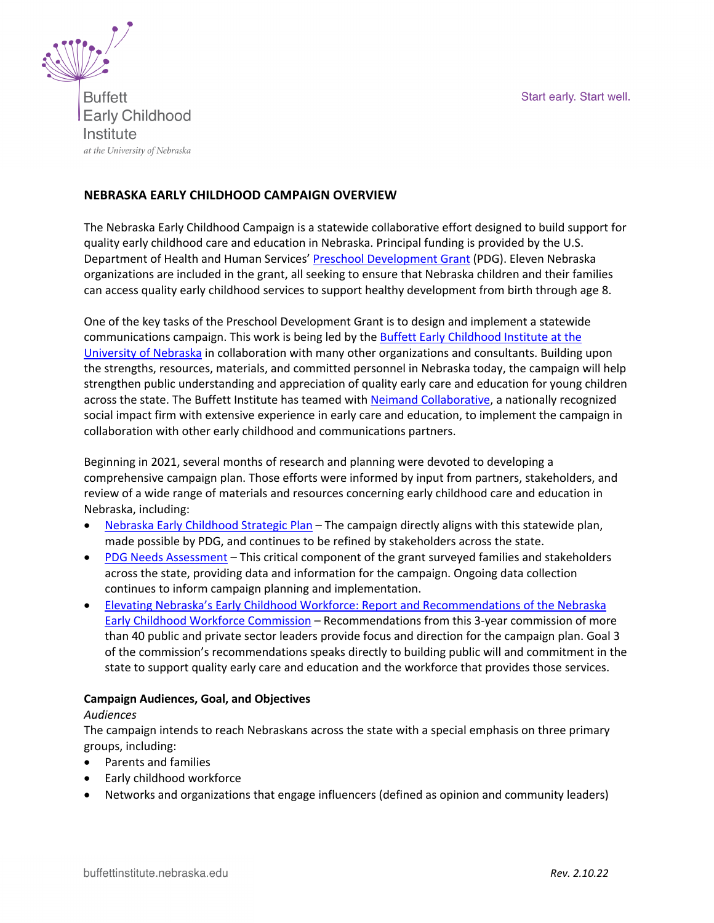Start early. Start well.



**Buffett Early Childhood** Institute at the University of Nebraska

# **NEBRASKA EARLY CHILDHOOD CAMPAIGN OVERVIEW**

The Nebraska Early Childhood Campaign is a statewide collaborative effort designed to build support for quality early childhood care and education in Nebraska. Principal funding is provided by the U.S. Department of Health and Human Services' Preschool Development Grant (PDG). Eleven Nebraska organizations are included in the grant, all seeking to ensure that Nebraska children and their families can access quality early childhood services to support healthy development from birth through age 8.

One of the key tasks of the Preschool Development Grant is to design and implement a statewide communications campaign. This work is being led by the Buffett Early Childhood Institute at the University of Nebraska in collaboration with many other organizations and consultants. Building upon the strengths, resources, materials, and committed personnel in Nebraska today, the campaign will help strengthen public understanding and appreciation of quality early care and education for young children across the state. The Buffett Institute has teamed with Neimand Collaborative, a nationally recognized social impact firm with extensive experience in early care and education, to implement the campaign in collaboration with other early childhood and communications partners.

Beginning in 2021, several months of research and planning were devoted to developing a comprehensive campaign plan. Those efforts were informed by input from partners, stakeholders, and review of a wide range of materials and resources concerning early childhood care and education in Nebraska, including:

- Nebraska Early Childhood Strategic Plan The campaign directly aligns with this statewide plan, made possible by PDG, and continues to be refined by stakeholders across the state.
- PDG Needs Assessment This critical component of the grant surveyed families and stakeholders across the state, providing data and information for the campaign. Ongoing data collection continues to inform campaign planning and implementation.
- Elevating Nebraska's Early Childhood Workforce: Report and Recommendations of the Nebraska Early Childhood Workforce Commission - Recommendations from this 3-year commission of more than 40 public and private sector leaders provide focus and direction for the campaign plan. Goal 3 of the commission's recommendations speaks directly to building public will and commitment in the state to support quality early care and education and the workforce that provides those services.

### **Campaign Audiences, Goal, and Objectives**

### *Audiences*

The campaign intends to reach Nebraskans across the state with a special emphasis on three primary groups, including:

- Parents and families
- Early childhood workforce
- Networks and organizations that engage influencers (defined as opinion and community leaders)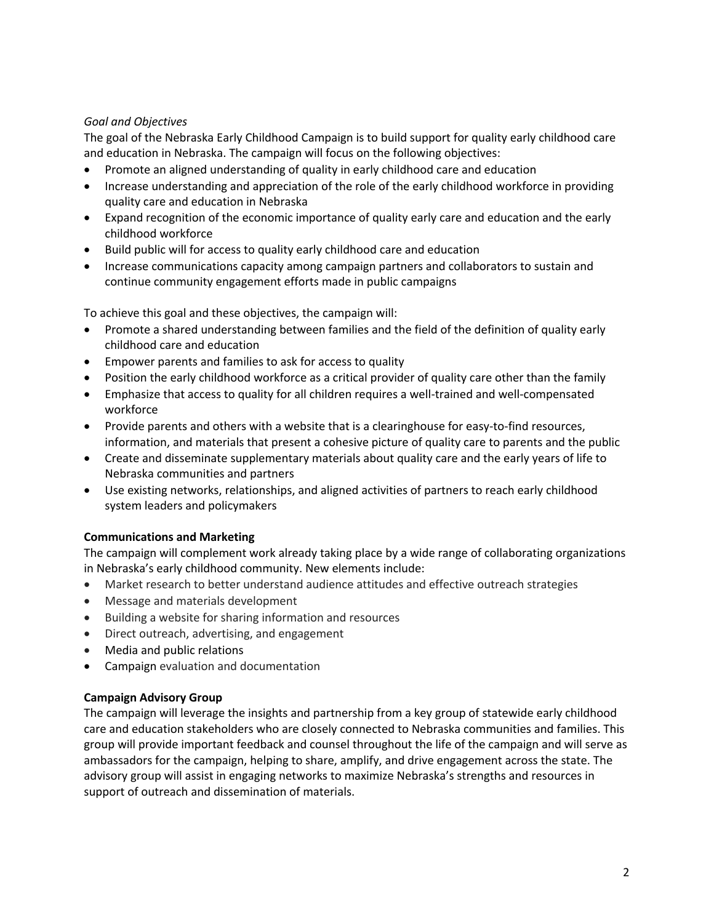## *Goal and Objectives*

The goal of the Nebraska Early Childhood Campaign is to build support for quality early childhood care and education in Nebraska. The campaign will focus on the following objectives:

- Promote an aligned understanding of quality in early childhood care and education
- Increase understanding and appreciation of the role of the early childhood workforce in providing quality care and education in Nebraska
- Expand recognition of the economic importance of quality early care and education and the early childhood workforce
- Build public will for access to quality early childhood care and education
- Increase communications capacity among campaign partners and collaborators to sustain and continue community engagement efforts made in public campaigns

To achieve this goal and these objectives, the campaign will:

- Promote a shared understanding between families and the field of the definition of quality early childhood care and education
- Empower parents and families to ask for access to quality
- Position the early childhood workforce as a critical provider of quality care other than the family
- Emphasize that access to quality for all children requires a well-trained and well-compensated workforce
- Provide parents and others with a website that is a clearinghouse for easy-to-find resources, information, and materials that present a cohesive picture of quality care to parents and the public
- Create and disseminate supplementary materials about quality care and the early years of life to Nebraska communities and partners
- Use existing networks, relationships, and aligned activities of partners to reach early childhood system leaders and policymakers

### **Communications and Marketing**

The campaign will complement work already taking place by a wide range of collaborating organizations in Nebraska's early childhood community. New elements include:

- Market research to better understand audience attitudes and effective outreach strategies
- Message and materials development
- Building a website for sharing information and resources
- Direct outreach, advertising, and engagement
- Media and public relations
- Campaign evaluation and documentation

### **Campaign Advisory Group**

The campaign will leverage the insights and partnership from a key group of statewide early childhood care and education stakeholders who are closely connected to Nebraska communities and families. This group will provide important feedback and counsel throughout the life of the campaign and will serve as ambassadors for the campaign, helping to share, amplify, and drive engagement across the state. The advisory group will assist in engaging networks to maximize Nebraska's strengths and resources in support of outreach and dissemination of materials.